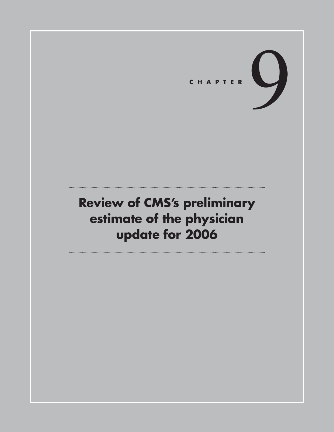

# **Review of CMS's preliminary estimate of the physician update for 2006**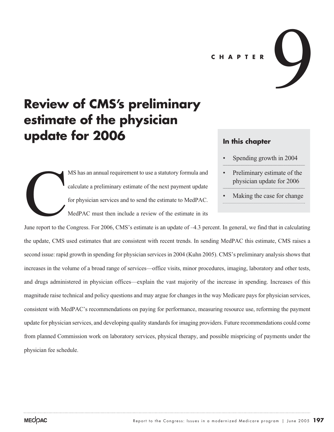**CHAPTER**

# **Review of CMS's preliminary estimate of the physician update for 2006**

MS has an annual requirement to use a statutory formula and calculate a preliminary estimate of the next payment update for physician services and to send the estimate to MedPAC. MedPAC must then include a review of the estimate in its June report to the

### **In this chapter**

• Spending growth in 2004

9

- Preliminary estimate of the physician update for 2006
- Making the case for change

June report to the Congress. For 2006, CMS's estimate is an update of –4.3 percent. In general, we find that in calculating the update, CMS used estimates that are consistent with recent trends. In sending MedPAC this estimate, CMS raises a second issue: rapid growth in spending for physician services in 2004 (Kuhn 2005). CMS's preliminary analysis shows that increases in the volume of a broad range of services—office visits, minor procedures, imaging, laboratory and other tests, and drugs administered in physician offices—explain the vast majority of the increase in spending. Increases of this magnitude raise technical and policy questions and may argue for changes in the way Medicare pays for physician services, consistent with MedPAC's recommendations on paying for performance, measuring resource use, reforming the payment update for physician services, and developing quality standards for imaging providers. Future recommendations could come from planned Commission work on laboratory services, physical therapy, and possible mispricing of payments under the physician fee schedule.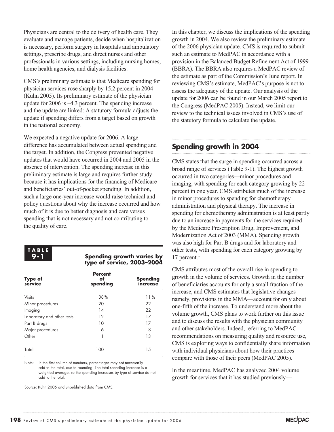Physicians are central to the delivery of health care. They evaluate and manage patients, decide when hospitalization is necessary, perform surgery in hospitals and ambulatory settings, prescribe drugs, and direct nurses and other professionals in various settings, including nursing homes, home health agencies, and dialysis facilities.

CMS's preliminary estimate is that Medicare spending for physician services rose sharply by 15.2 percent in 2004 (Kuhn 2005). Its preliminary estimate of the physician update for 2006 is –4.3 percent. The spending increase and the update are linked: A statutory formula adjusts the update if spending differs from a target based on growth in the national economy.

We expected a negative update for 2006. A large difference has accumulated between actual spending and the target. In addition, the Congress prevented negative updates that would have occurred in 2004 and 2005 in the absence of intervention. The spending increase in this preliminary estimate is large and requires further study because it has implications for the financing of Medicare and beneficiaries' out-of-pocket spending. In addition, such a large one-year increase would raise technical and policy questions about why the increase occurred and how much of it is due to better diagnosis and care versus spending that is not necessary and not contributing to the quality of care.



#### **Spending growth varies by type of service, 2003–2004**

| Type of<br>service         | <b>Percent</b><br>of<br>spending | <b>Spending</b><br>ıncrease |  |
|----------------------------|----------------------------------|-----------------------------|--|
| <b>Visits</b>              | 38%                              | 11%                         |  |
| Minor procedures           | 20                               | 22                          |  |
| Imaging                    | 14                               | 22                          |  |
| Laboratory and other tests | 12                               | 17                          |  |
| Part B drugs               | 10                               | 17                          |  |
| Major procedures           | 6                                | 8                           |  |
| Other                      |                                  | 13                          |  |
| Total                      | 100                              | 1.5                         |  |

Note: In the first column of numbers, percentages may not necessarily add to the total, due to rounding. The total spending increase is a weighted average, so the spending increases by type of service do not add to the total.

Source: Kuhn 2005 and unpublished data from CMS.

In this chapter, we discuss the implications of the spending growth in 2004. We also review the preliminary estimate of the 2006 physician update. CMS is required to submit such an estimate to MedPAC in accordance with a provision in the Balanced Budget Refinement Act of 1999 (BBRA). The BBRA also requires a MedPAC review of the estimate as part of the Commission's June report. In reviewing CMS's estimate, MedPAC's purpose is not to assess the adequacy of the update. Our analysis of the update for 2006 can be found in our March 2005 report to the Congress (MedPAC 2005). Instead, we limit our review to the technical issues involved in CMS's use of the statutory formula to calculate the update.

# **Spending growth in 2004**

CMS states that the surge in spending occurred across a broad range of services (Table 9-1). The highest growth occurred in two categories—minor procedures and imaging, with spending for each category growing by 22 percent in one year. CMS attributes much of the increase in minor procedures to spending for chemotherapy administration and physical therapy. The increase in spending for chemotherapy administration is at least partly due to an increase in payments for the services required by the Medicare Prescription Drug, Improvement, and Modernization Act of 2003 (MMA). Spending growth was also high for Part B drugs and for laboratory and other tests, with spending for each category growing by 17 percent. $1$ 

CMS attributes most of the overall rise in spending to growth in the volume of services. Growth in the number of beneficiaries accounts for only a small fraction of the increase, and CMS estimates that legislative changes namely, provisions in the MMA—account for only about one-fifth of the increase. To understand more about the volume growth, CMS plans to work further on this issue and to discuss the results with the physician community and other stakeholders. Indeed, referring to MedPAC recommendations on measuring quality and resource use, CMS is exploring ways to confidentially share information with individual physicians about how their practices compare with those of their peers (MedPAC 2005).

In the meantime, MedPAC has analyzed 2004 volume growth for services that it has studied previously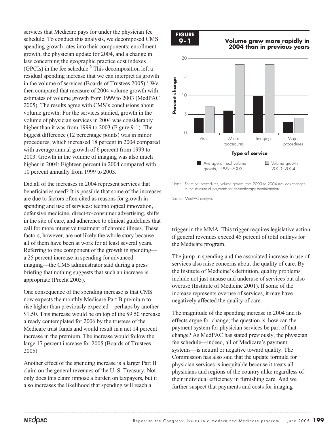services that Medicare pays for under the physician fee schedule. To conduct this analysis, we decomposed CMS spending growth rates into their components: enrollment growth, the physician update for 2004, and a change in law concerning the geographic practice cost indexes (GPCIs) in the fee schedule.<sup>2</sup> This decomposition left a residual spending increase that we can interpret as growth in the volume of services (Boards of Trustees  $2005$ ).<sup>3</sup> We then compared that measure of 2004 volume growth with estimates of volume growth from 1999 to 2003 (MedPAC 2005). The results agree with CMS's conclusions about volume growth: For the services studied, growth in the volume of physician services in 2004 was considerably higher than it was from 1999 to 2003 (Figure 9-1). The biggest difference (12 percentage points) was in minor procedures, which increased 18 percent in 2004 compared with average annual growth of 6 percent from 1999 to 2003. Growth in the volume of imaging was also much higher in 2004: Eighteen percent in 2004 compared with 10 percent annually from 1999 to 2003.

Did all of the increases in 2004 represent services that beneficiaries need? It is possible that some of the increases are due to factors often cited as reasons for growth in spending and use of services: technological innovation, defensive medicine, direct-to-consumer advertising, shifts in the site of care, and adherence to clinical guidelines that call for more intensive treatment of chronic illness. These factors, however, are not likely the whole story because all of them have been at work for at least several years. Referring to one component of the growth in spending a 25 percent increase in spending for advanced imaging—the CMS administrator said during a press briefing that nothing suggests that such an increase is appropriate (Precht 2005).

One consequence of the spending increase is that CMS now expects the monthly Medicare Part B premium to rise higher than previously expected—perhaps by another \$1.50. This increase would be on top of the \$9.50 increase already contemplated for 2006 by the trustees of the Medicare trust funds and would result in a net 14 percent increase in the premium. The increase would follow the large 17 percent increase for 2005 (Boards of Trustees 2005).

Another effect of the spending increase is a larger Part B claim on the general revenues of the U. S. Treasury. Not only does this claim impose a burden on taxpayers, but it also increases the likelihood that spending will reach a



**Volume grew more rapidly in 2004 than in previous years**



trigger in the MMA. This trigger requires legislative action if general revenues exceed 45 percent of total outlays for the Medicare program.

The jump in spending and the associated increase in use of services also raise concerns about the quality of care. By the Institute of Medicine's definition, quality problems include not just misuse and underuse of services but also overuse (Institute of Medicine 2001). If some of the increase represents overuse of services, it may have negatively affected the quality of care.

The magnitude of the spending increase in 2004 and its effects argue for change; the question is, how can the payment system for physician services be part of that change? As MedPAC has stated previously, the physician fee schedule—indeed, all of Medicare's payment systems—is neutral or negative toward quality. The Commission has also said that the update formula for physician services is inequitable because it treats all physicians and regions of the country alike regardless of their individual efficiency in furnishing care. And we further suspect that payments and costs for imaging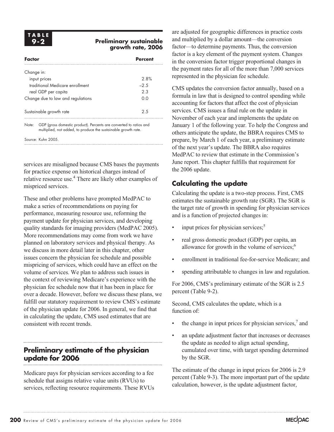### **Preliminary sustainable growth rate, 2006**

| Factor                                                                                                                                        |                                   | <b>Percent</b> |  |  |
|-----------------------------------------------------------------------------------------------------------------------------------------------|-----------------------------------|----------------|--|--|
| Change in:                                                                                                                                    |                                   |                |  |  |
|                                                                                                                                               | input prices                      | 2.8%           |  |  |
|                                                                                                                                               | traditional Medicare enrollment   | $-2.5$         |  |  |
|                                                                                                                                               | real GDP per capita               | 2.3            |  |  |
|                                                                                                                                               | Change due to law and regulations | ი ი            |  |  |
|                                                                                                                                               | Sustainable growth rate           | 25             |  |  |
| GDP (gross domestic product). Percents are converted to ratios and<br>Note:<br>multiplied, not added, to produce the sustainable growth rate. |                                   |                |  |  |

Source: Kuhn 2005.

services are misaligned because CMS bases the payments for practice expense on historical charges instead of relative resource use.4 There are likely other examples of mispriced services.

These and other problems have prompted MedPAC to make a series of recommendations on paying for performance, measuring resource use, reforming the payment update for physician services, and developing quality standards for imaging providers (MedPAC 2005). More recommendations may come from work we have planned on laboratory services and physical therapy. As we discuss in more detail later in this chapter, other issues concern the physician fee schedule and possible mispricing of services, which could have an effect on the volume of services. We plan to address such issues in the context of reviewing Medicare's experience with the physician fee schedule now that it has been in place for over a decade. However, before we discuss these plans, we fulfill our statutory requirement to review CMS's estimate of the physician update for 2006. In general, we find that in calculating the update, CMS used estimates that are consistent with recent trends.

## **Preliminary estimate of the physician update for 2006**

Medicare pays for physician services according to a fee schedule that assigns relative value units (RVUs) to services, reflecting resource requirements. These RVUs

are adjusted for geographic differences in practice costs and multiplied by a dollar amount—the conversion factor—to determine payments. Thus, the conversion factor is a key element of the payment system. Changes in the conversion factor trigger proportional changes in the payment rates for all of the more than 7,000 services represented in the physician fee schedule.

CMS updates the conversion factor annually, based on a formula in law that is designed to control spending while accounting for factors that affect the cost of physician services. CMS issues a final rule on the update in November of each year and implements the update on January 1 of the following year. To help the Congress and others anticipate the update, the BBRA requires CMS to prepare, by March 1 of each year, a preliminary estimate of the next year's update. The BBRA also requires MedPAC to review that estimate in the Commission's June report. This chapter fulfills that requirement for the 2006 update.

# **Calculating the update**

Calculating the update is a two-step process. First, CMS estimates the sustainable growth rate (SGR). The SGR is the target rate of growth in spending for physician services and is a function of projected changes in:

- input prices for physician services;<sup>5</sup>
- real gross domestic product (GDP) per capita, an allowance for growth in the volume of services; $<sup>6</sup>$ </sup>
- enrollment in traditional fee-for-service Medicare; and
- spending attributable to changes in law and regulation.

For 2006, CMS's preliminary estimate of the SGR is 2.5 percent (Table 9-2).

Second, CMS calculates the update, which is a function of:

- the change in input prices for physician services, $\alpha$  and
- an update adjustment factor that increases or decreases the update as needed to align actual spending, cumulated over time, with target spending determined by the SGR.

The estimate of the change in input prices for 2006 is 2.9 percent (Table 9-3). The more important part of the update calculation, however, is the update adjustment factor,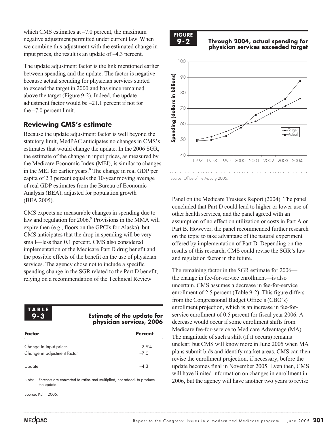which CMS estimates at  $-7.0$  percent, the maximum negative adjustment permitted under current law. When we combine this adjustment with the estimated change in input prices, the result is an update of –4.3 percent.

The update adjustment factor is the link mentioned earlier between spending and the update. The factor is negative because actual spending for physician services started to exceed the target in 2000 and has since remained above the target (Figure 9-2). Indeed, the update adjustment factor would be –21.1 percent if not for the –7.0 percent limit.

### **Reviewing CMS's estimate**

Because the update adjustment factor is well beyond the statutory limit, MedPAC anticipates no changes in CMS's estimates that would change the update. In the 2006 SGR, the estimate of the change in input prices, as measured by the Medicare Economic Index (MEI), is similar to changes in the MEI for earlier years.<sup>8</sup> The change in real GDP per capita of 2.3 percent equals the 10-year moving average of real GDP estimates from the Bureau of Economic Analysis (BEA), adjusted for population growth (BEA 2005).

CMS expects no measurable changes in spending due to law and regulation for 2006.<sup>9</sup> Provisions in the MMA will expire then (e.g., floors on the GPCIs for Alaska), but CMS anticipates that the drop in spending will be very small—less than 0.1 percent. CMS also considered implementation of the Medicare Part D drug benefit and the possible effects of the benefit on the use of physician services. The agency chose not to include a specific spending change in the SGR related to the Part D benefit, relying on a recommendation of the Technical Review

### **TABLE 9-3**

#### **Estimate of the update for physician services, 2006**

| Factor                                                | <b>Percent</b> |
|-------------------------------------------------------|----------------|
| Change in input prices<br>Change in adjustment factor | 2.9%<br>$-7.0$ |
| Update                                                | $-4.3$         |

Note: Percents are converted to ratios and multiplied, not added, to produce the update.

Source: Kuhn 2005.



**Through 2004, actual spending for physician services exceeded target**



Panel on the Medicare Trustees Report (2004). The panel concluded that Part D could lead to higher or lower use of other health services, and the panel agreed with an assumption of no effect on utilization or costs in Part A or Part B. However, the panel recommended further research on the topic to take advantage of the natural experiment offered by implementation of Part D. Depending on the results of this research, CMS could revise the SGR's law and regulation factor in the future.

The remaining factor in the SGR estimate for 2006 the change in fee-for-service enrollment—is also uncertain. CMS assumes a decrease in fee-for-service enrollment of 2.5 percent (Table 9-2). This figure differs from the Congressional Budget Office's (CBO's) enrollment projection, which is an increase in fee-forservice enrollment of 0.5 percent for fiscal year 2006. A decrease would occur if some enrollment shifts from Medicare fee-for-service to Medicare Advantage (MA). The magnitude of such a shift (if it occurs) remains unclear, but CMS will know more in June 2005 when MA plans submit bids and identify market areas. CMS can then revise the enrollment projection, if necessary, before the update becomes final in November 2005. Even then, CMS will have limited information on changes in enrollment in 2006, but the agency will have another two years to revise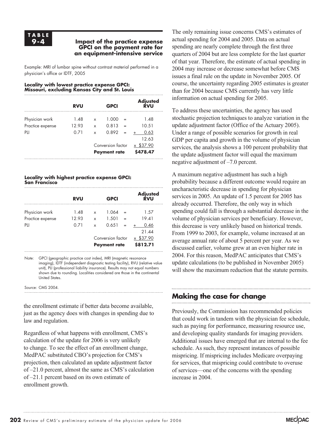#### **Impact of the practice expense GPCI on the payment rate for an equipment-intensive service**

Example: MRI of lumbar spine without contrast material performed in a physician's office or IDTF, 2005

#### **Locality with lowest practice expense GPCI: Missouri, excluding Kansas City and St. Louis**

|                  | <b>RVU</b> |                   | <b>GPCI</b>         |         | Adjusted<br>RVU |
|------------------|------------|-------------------|---------------------|---------|-----------------|
| Physician work   | 1.48       | x                 | 1.000               |         | 1.48            |
| Practice expense | 12.93      | X                 | 0.813               |         | 10.51           |
| PH               | 0 7 1      | x                 | 0.892               |         | 0.63            |
|                  |            |                   |                     |         | 12.63           |
|                  |            | Conversion factor |                     | \$37.90 |                 |
|                  |            |                   | <b>Payment rate</b> |         | \$478.47        |
|                  |            |                   |                     |         |                 |

#### **Locality with highest practice expense GPCI: San Francisco**

|                  | <b>RVU</b> |                                          | <b>GPCI</b> |                       | Adjusted<br>RVU |
|------------------|------------|------------------------------------------|-------------|-----------------------|-----------------|
| Physician work   | 1.48       | x                                        | 1.064       |                       | 1.57            |
| Practice expense | 12.93      | x                                        | 1.501       |                       | 19.41           |
| PH               | 0 7 1      | x                                        | 0.651       |                       | 0.46<br>21.44   |
|                  |            | Conversion factor<br><b>Payment rate</b> |             | x \$37.90<br>\$812.71 |                 |

Note: GPCI (geographic practice cost index), MRI (magnetic resonance imaging), IDTF (independent diagnostic testing facility), RVU (relative value unit), PLI (professional liability insurance). Results may not equal numbers shown due to rounding. Localities considered are those in the continental United States.

Source: CMS 2004.

the enrollment estimate if better data become available, just as the agency does with changes in spending due to law and regulation.

Regardless of what happens with enrollment, CMS's calculation of the update for 2006 is very unlikely to change. To see the effect of an enrollment change, MedPAC substituted CBO's projection for CMS's projection, then calculated an update adjustment factor of –21.0 percent, almost the same as CMS's calculation of –21.1 percent based on its own estimate of enrollment growth.

The only remaining issue concerns CMS's estimates of actual spending for 2004 and 2005. Data on actual spending are nearly complete through the first three quarters of 2004 but are less complete for the last quarter of that year. Therefore, the estimate of actual spending in 2004 may increase or decrease somewhat before CMS issues a final rule on the update in November 2005. Of course, the uncertainty regarding 2005 estimates is greater than for 2004 because CMS currently has very little information on actual spending for 2005.

To address these uncertainties, the agency has used stochastic projection techniques to analyze variation in the update adjustment factor (Office of the Actuary 2005). Under a range of possible scenarios for growth in real GDP per capita and growth in the volume of physician services, the analysis shows a 100 percent probability that the update adjustment factor will equal the maximum negative adjustment of –7.0 percent.

A maximum negative adjustment has such a high probability because a different outcome would require an uncharacteristic decrease in spending for physician services in 2005. An update of 1.5 percent for 2005 has already occurred. Therefore, the only way in which spending could fall is through a substantial decrease in the volume of physician services per beneficiary. However, this decrease is very unlikely based on historical trends. From 1999 to 2003, for example, volume increased at an average annual rate of about 5 percent per year. As we discussed earlier, volume grew at an even higher rate in 2004. For this reason, MedPAC anticipates that CMS's update calculations (to be published in November 2005) will show the maximum reduction that the statute permits.

# **Making the case for change**

Previously, the Commission has recommended policies that could work in tandem with the physician fee schedule, such as paying for performance, measuring resource use, and developing quality standards for imaging providers. Additional issues have emerged that are internal to the fee schedule. As such, they represent instances of possible mispricing. If mispricing includes Medicare overpaying for services, that mispricing could contribute to overuse of services—one of the concerns with the spending increase in 2004.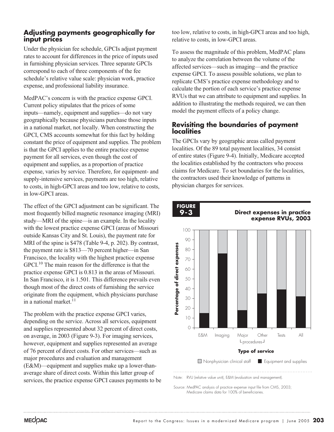### **Adjusting payments geographically for input prices**

Under the physician fee schedule, GPCIs adjust payment rates to account for differences in the price of inputs used in furnishing physician services. Three separate GPCIs correspond to each of three components of the fee schedule's relative value scale: physician work, practice expense, and professional liability insurance.

MedPAC's concern is with the practice expense GPCI. Current policy stipulates that the prices of some inputs—namely, equipment and supplies—do not vary geographically because physicians purchase those inputs in a national market, not locally. When constructing the GPCI, CMS accounts somewhat for this fact by holding constant the price of equipment and supplies. The problem is that the GPCI applies to the entire practice expense payment for all services, even though the cost of equipment and supplies, as a proportion of practice expense, varies by service. Therefore, for equipment- and supply-intensive services, payments are too high, relative to costs, in high-GPCI areas and too low, relative to costs, in low-GPCI areas.

The effect of the GPCI adjustment can be significant. The most frequently billed magnetic resonance imaging (MRI) study—MRI of the spine—is an example. In the locality with the lowest practice expense GPCI (areas of Missouri outside Kansas City and St. Louis), the payment rate for MRI of the spine is \$478 (Table 9-4, p. 202). By contrast, the payment rate is \$813—70 percent higher—in San Francisco, the locality with the highest practice expense GPCI.<sup>10</sup> The main reason for the difference is that the practice expense GPCI is 0.813 in the areas of Missouri. In San Francisco, it is 1.501. This difference prevails even though most of the direct costs of furnishing the service originate from the equipment, which physicians purchase in a national market.<sup>11</sup>

The problem with the practice expense GPCI varies, depending on the service. Across all services, equipment and supplies represented about 32 percent of direct costs, on average, in 2003 (Figure 9-3). For imaging services, however, equipment and supplies represented an average of 76 percent of direct costs. For other services—such as major procedures and evaluation and management (E&M)—equipment and supplies make up a lower-thanaverage share of direct costs. Within this latter group of services, the practice expense GPCI causes payments to be too low, relative to costs, in high-GPCI areas and too high, relative to costs, in low-GPCI areas.

To assess the magnitude of this problem, MedPAC plans to analyze the correlation between the volume of the affected services—such as imaging—and the practice expense GPCI. To assess possible solutions, we plan to replicate CMS's practice expense methodology and to calculate the portion of each service's practice expense RVUs that we can attribute to equipment and supplies. In addition to illustrating the methods required, we can then model the payment effects of a policy change.

### **Revisiting the boundaries of payment localities**

The GPCIs vary by geographic areas called payment localities. Of the 89 total payment localities, 34 consist of entire states (Figure 9-4). Initially, Medicare accepted the localities established by the contractors who process claims for Medicare. To set boundaries for the localities, the contractors used their knowledge of patterns in physician charges for services.



Source: MedPAC analysis of practice expense input file from CMS, 2003;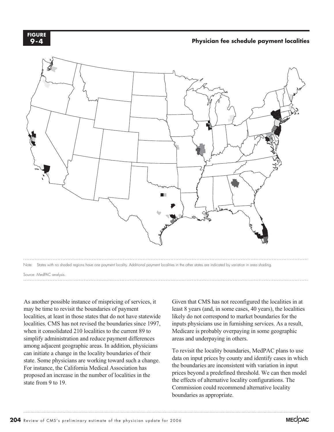

#### **Physician fee schedule payment localities**



Source: MedPAC analysis.

As another possible instance of mispricing of services, it may be time to revisit the boundaries of payment localities, at least in those states that do not have statewide localities. CMS has not revised the boundaries since 1997, when it consolidated 210 localities to the current 89 to simplify administration and reduce payment differences among adjacent geographic areas. In addition, physicians can initiate a change in the locality boundaries of their state. Some physicians are working toward such a change. For instance, the California Medical Association has proposed an increase in the number of localities in the state from 9 to 19.

Given that CMS has not reconfigured the localities in at least 8 years (and, in some cases, 40 years), the localities likely do not correspond to market boundaries for the inputs physicians use in furnishing services. As a result, Medicare is probably overpaying in some geographic areas and underpaying in others.

To revisit the locality boundaries, MedPAC plans to use data on input prices by county and identify cases in which the boundaries are inconsistent with variation in input prices beyond a predefined threshold. We can then model the effects of alternative locality configurations. The Commission could recommend alternative locality boundaries as appropriate.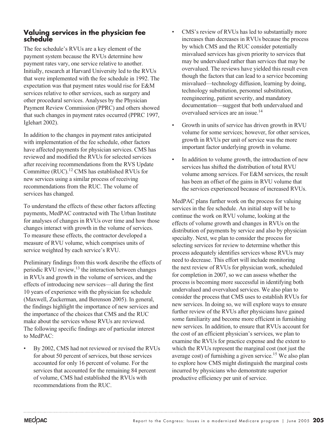### **Valuing services in the physician fee schedule**

The fee schedule's RVUs are a key element of the payment system because the RVUs determine how payment rates vary, one service relative to another. Initially, research at Harvard University led to the RVUs that were implemented with the fee schedule in 1992. The expectation was that payment rates would rise for E&M services relative to other services, such as surgery and other procedural services. Analyses by the Physician Payment Review Commission (PPRC) and others showed that such changes in payment rates occurred (PPRC 1997, Iglehart 2002).

In addition to the changes in payment rates anticipated with implementation of the fee schedule, other factors have affected payments for physician services. CMS has reviewed and modified the RVUs for selected services after receiving recommendations from the RVS Update Committee (RUC).12 CMS has established RVUs for new services using a similar process of receiving recommendations from the RUC. The volume of services has changed.

To understand the effects of these other factors affecting payments, MedPAC contracted with The Urban Institute for analyses of changes in RVUs over time and how those changes interact with growth in the volume of services. To measure these effects, the contractor developed a measure of RVU volume, which comprises units of service weighted by each service's RVU.

Preliminary findings from this work describe the effects of periodic RVU review, $^{13}$  the interaction between changes in RVUs and growth in the volume of services, and the effects of introducing new services—all during the first 10 years of experience with the physician fee schedule (Maxwell, Zuckerman, and Berenson 2005). In general, the findings highlight the importance of new services and the importance of the choices that CMS and the RUC make about the services whose RVUs are reviewed. The following specific findings are of particular interest to MedPAC:

• By 2002, CMS had not reviewed or revised the RVUs for about 50 percent of services, but those services accounted for only 16 percent of volume. For the services that accounted for the remaining 84 percent of volume, CMS had established the RVUs with recommendations from the RUC.

- CMS's review of RVUs has led to substantially more increases than decreases in RVUs because the process by which CMS and the RUC consider potentially misvalued services has given priority to services that may be undervalued rather than services that may be overvalued. The reviews have yielded this result even though the factors that can lead to a service becoming misvalued—technology diffusion, learning by doing, technology substitution, personnel substitution, reengineering, patient severity, and mandatory documentation—suggest that both undervalued and overvalued services are an issue.14
- Growth in units of service has driven growth in RVU volume for some services; however, for other services, growth in RVUs per unit of service was the more important factor underlying growth in volume.
- In addition to volume growth, the introduction of new services has shifted the distribution of total RVU volume among services. For E&M services, the result has been an offset of the gains in RVU volume that the services experienced because of increased RVUs.

MedPAC plans further work on the process for valuing services in the fee schedule. An initial step will be to continue the work on RVU volume, looking at the effects of volume growth and changes in RVUs on the distribution of payments by service and also by physician specialty. Next, we plan to consider the process for selecting services for review to determine whether this process adequately identifies services whose RVUs may need to decrease. This effort will include monitoring the next review of RVUs for physician work, scheduled for completion in 2007, so we can assess whether the process is becoming more successful in identifying both undervalued and overvalued services. We also plan to consider the process that CMS uses to establish RVUs for new services. In doing so, we will explore ways to ensure further review of the RVUs after physicians have gained some familiarity and become more efficient in furnishing new services. In addition, to ensure that RVUs account for the cost of an efficient physician's services, we plan to examine the RVUs for practice expense and the extent to which the RVUs represent the marginal cost (not just the average cost) of furnishing a given service.15 We also plan to explore how CMS might distinguish the marginal costs incurred by physicians who demonstrate superior productive efficiency per unit of service.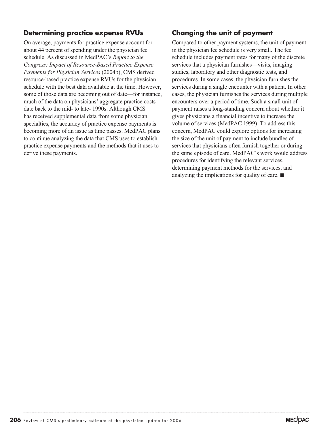## **Determining practice expense RVUs**

On average, payments for practice expense account for about 44 percent of spending under the physician fee schedule. As discussed in MedPAC's *Report to the Congress: Impact of Resource-Based Practice Expense Payments for Physician Services* (2004b), CMS derived resource-based practice expense RVUs for the physician schedule with the best data available at the time. However, some of those data are becoming out of date—for instance, much of the data on physicians' aggregate practice costs date back to the mid- to late- 1990s. Although CMS has received supplemental data from some physician specialties, the accuracy of practice expense payments is becoming more of an issue as time passes. MedPAC plans to continue analyzing the data that CMS uses to establish practice expense payments and the methods that it uses to derive these payments.

# **Changing the unit of payment**

Compared to other payment systems, the unit of payment in the physician fee schedule is very small. The fee schedule includes payment rates for many of the discrete services that a physician furnishes—visits, imaging studies, laboratory and other diagnostic tests, and procedures. In some cases, the physician furnishes the services during a single encounter with a patient. In other cases, the physician furnishes the services during multiple encounters over a period of time. Such a small unit of payment raises a long-standing concern about whether it gives physicians a financial incentive to increase the volume of services (MedPAC 1999). To address this concern, MedPAC could explore options for increasing the size of the unit of payment to include bundles of services that physicians often furnish together or during the same episode of care. MedPAC's work would address procedures for identifying the relevant services, determining payment methods for the services, and analyzing the implications for quality of care.  $\blacksquare$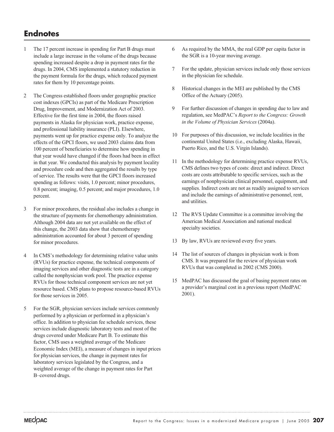# **Endnotes**

- 1 The 17 percent increase in spending for Part B drugs must include a large increase in the volume of the drugs because spending increased despite a drop in payment rates for the drugs. In 2004, CMS implemented a statutory reduction in the payment formula for the drugs, which reduced payment rates for them by 10 percentage points.
- 2 The Congress established floors under geographic practice cost indexes (GPCIs) as part of the Medicare Prescription Drug, Improvement, and Modernization Act of 2003. Effective for the first time in 2004, the floors raised payments in Alaska for physician work, practice expense, and professional liability insurance (PLI). Elsewhere, payments went up for practice expense only. To analyze the effects of the GPCI floors, we used 2003 claims data from 100 percent of beneficiaries to determine how spending in that year would have changed if the floors had been in effect in that year. We conducted this analysis by payment locality and procedure code and then aggregated the results by type of service. The results were that the GPCI floors increased spending as follows: visits, 1.0 percent; minor procedures, 0.8 percent; imaging, 0.5 percent; and major procedures, 1.0 percent.
- 3 For minor procedures, the residual also includes a change in the structure of payments for chemotherapy administration. Although 2004 data are not yet available on the effect of this change, the 2003 data show that chemotherapy administration accounted for about 3 percent of spending for minor procedures.
- 4 In CMS's methodology for determining relative value units (RVUs) for practice expense, the technical components of imaging services and other diagnostic tests are in a category called the nonphysician work pool. The practice expense RVUs for those technical component services are not yet resource based. CMS plans to propose resource-based RVUs for those services in 2005.
- 5 For the SGR, physician services include services commonly performed by a physician or performed in a physician's office. In addition to physician fee schedule services, these services include diagnostic laboratory tests and most of the drugs covered under Medicare Part B. To estimate this factor, CMS uses a weighted average of the Medicare Economic Index (MEI), a measure of changes in input prices for physician services, the change in payment rates for laboratory services legislated by the Congress, and a weighted average of the change in payment rates for Part B–covered drugs.
- 6 As required by the MMA, the real GDP per capita factor in the SGR is a 10-year moving average.
- 7 For the update, physician services include only those services in the physician fee schedule.
- 8 Historical changes in the MEI are published by the CMS Office of the Actuary (2005).
- 9 For further discussion of changes in spending due to law and regulation, see MedPAC's *Report to the Congress: Growth in the Volume of Physician Services* (2004a).
- 10 For purposes of this discussion, we include localities in the continental United States (i.e., excluding Alaska, Hawaii, Puerto Rico, and the U.S. Virgin Islands).
- 11 In the methodology for determining practice expense RVUs, CMS defines two types of costs: direct and indirect. Direct costs are costs attributable to specific services, such as the earnings of nonphysician clinical personnel, equipment, and supplies. Indirect costs are not as readily assigned to services and include the earnings of administrative personnel, rent, and utilities.
- 12 The RVS Update Committee is a committee involving the American Medical Association and national medical specialty societies.
- 13 By law, RVUs are reviewed every five years.
- 14 The list of sources of changes in physician work is from CMS. It was prepared for the review of physician work RVUs that was completed in 2002 (CMS 2000).
- 15 MedPAC has discussed the goal of basing payment rates on a provider's marginal cost in a previous report (MedPAC 2001).